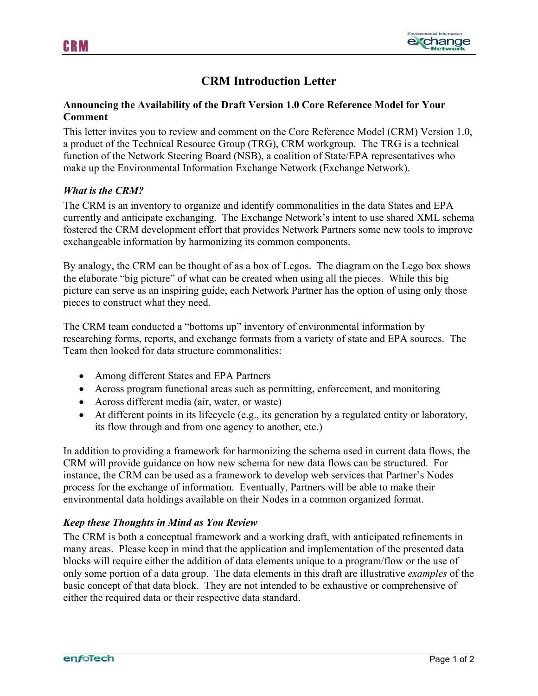



# **CRM Introduction Letter**

### **Announcing the Availability of the Draft Version 1.0 Core Reference Model for Your Comment**

This letter invites you to review and comment on the Core Reference Model (CRM) Version 1.0, a product of the Technical Resource Group (TRG), CRM workgroup. The TRG is a technical function of the Network Steering Board (NSB), a coalition of State/EPA representatives who make up the Environmental Information Exchange Network (Exchange Network).

#### *What is the CRM?*

The CRM is an inventory to organize and identify commonalities in the data States and EPA currently and anticipate exchanging. The Exchange Network's intent to use shared XML schema fostered the CRM development effort that provides Network Partners some new tools to improve exchangeable information by harmonizing its common components.

By analogy, the CRM can be thought of as a box of Legos. The diagram on the Lego box shows the elaborate "big picture" of what can be created when using all the pieces. While this big picture can serve as an inspiring guide, each Network Partner has the option of using only those pieces to construct what they need.

The CRM team conducted a "bottoms up" inventory of environmental information by researching forms, reports, and exchange formats from a variety of state and EPA sources. The Team then looked for data structure commonalities:

- Among different States and EPA Partners
- Across program functional areas such as permitting, enforcement, and monitoring
- Across different media (air, water, or waste)
- At different points in its lifecycle (e.g., its generation by a regulated entity or laboratory, its flow through and from one agency to another, etc.)

In addition to providing a framework for harmonizing the schema used in current data flows, the CRM will provide guidance on how new schema for new data flows can be structured. For instance, the CRM can be used as a framework to develop web services that Partner's Nodes process for the exchange of information. Eventually, Partners will be able to make their environmental data holdings available on their Nodes in a common organized format.

#### *Keep these Thoughts in Mind as You Review*

The CRM is both a conceptual framework and a working draft, with anticipated refinements in many areas. Please keep in mind that the application and implementation of the presented data blocks will require either the addition of data elements unique to a program/flow or the use of only some portion of a data group. The data elements in this draft are illustrative *examples* of the basic concept of that data block. They are not intended to be exhaustive or comprehensive of either the required data or their respective data standard.